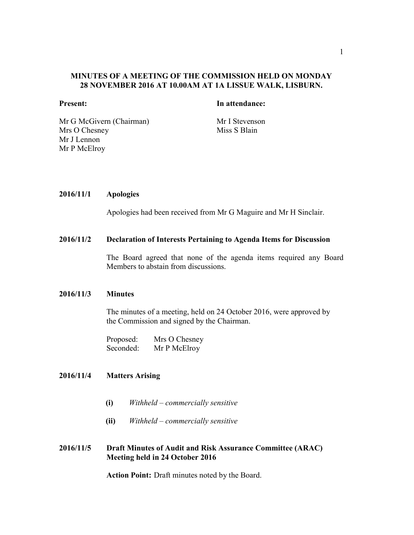## MINUTES OF A MEETING OF THE COMMISSION HELD ON MONDAY 28 NOVEMBER 2016 AT 10.00AM AT 1A LISSUE WALK, LISBURN.

#### Present: In attendance:

Mr G McGivern (Chairman) Mr I Stevenson Mrs O Chesney Mr J Lennon Mr P McElroy

Miss S Blain

## 2016/11/1 Apologies

Apologies had been received from Mr G Maguire and Mr H Sinclair.

#### 2016/11/2 Declaration of Interests Pertaining to Agenda Items for Discussion

The Board agreed that none of the agenda items required any Board Members to abstain from discussions.

# 2016/11/3 Minutes

The minutes of a meeting, held on 24 October 2016, were approved by the Commission and signed by the Chairman.

Proposed: Mrs O Chesney<br>Seconded: Mr P McElrov Mr P McElroy

# 2016/11/4 Matters Arising

- (i) *Withheld – commercially sensitive*
- (ii) *Withheld – commercially sensitive*

# 2016/11/5 Draft Minutes of Audit and Risk Assurance Committee (ARAC) Meeting held in 24 October 2016

Action Point: Draft minutes noted by the Board.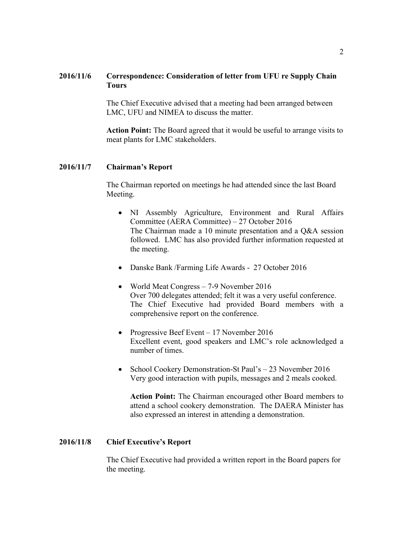# 2016/11/6 Correspondence: Consideration of letter from UFU re Supply Chain Tours

The Chief Executive advised that a meeting had been arranged between LMC, UFU and NIMEA to discuss the matter.

Action Point: The Board agreed that it would be useful to arrange visits to meat plants for LMC stakeholders.

# 2016/11/7 Chairman's Report

The Chairman reported on meetings he had attended since the last Board Meeting.

- NI Assembly Agriculture, Environment and Rural Affairs Committee (AERA Committee) – 27 October 2016 The Chairman made a 10 minute presentation and a Q&A session followed. LMC has also provided further information requested at the meeting.
- Danske Bank /Farming Life Awards 27 October 2016
- World Meat Congress 7-9 November 2016 Over 700 delegates attended; felt it was a very useful conference. The Chief Executive had provided Board members with a comprehensive report on the conference.
- Progressive Beef Event 17 November 2016 Excellent event, good speakers and LMC's role acknowledged a number of times.
- School Cookery Demonstration-St Paul's 23 November 2016 Very good interaction with pupils, messages and 2 meals cooked.

Action Point: The Chairman encouraged other Board members to attend a school cookery demonstration. The DAERA Minister has also expressed an interest in attending a demonstration.

## 2016/11/8 Chief Executive's Report

The Chief Executive had provided a written report in the Board papers for the meeting.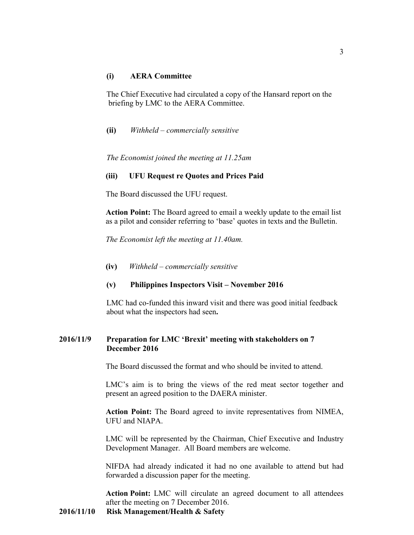## (i) AERA Committee

The Chief Executive had circulated a copy of the Hansard report on the briefing by LMC to the AERA Committee.

(ii) *Withheld – commercially sensitive*

*The Economist joined the meeting at 11.25am*

## (iii) UFU Request re Quotes and Prices Paid

The Board discussed the UFU request.

Action Point: The Board agreed to email a weekly update to the email list as a pilot and consider referring to 'base' quotes in texts and the Bulletin.

*The Economist left the meeting at 11.40am.*

(iv) *Withheld – commercially sensitive*

#### (v) Philippines Inspectors Visit – November 2016

LMC had co-funded this inward visit and there was good initial feedback about what the inspectors had seen.

# 2016/11/9 Preparation for LMC 'Brexit' meeting with stakeholders on 7 December 2016

The Board discussed the format and who should be invited to attend.

LMC's aim is to bring the views of the red meat sector together and present an agreed position to the DAERA minister.

Action Point: The Board agreed to invite representatives from NIMEA, UFU and NIAPA.

LMC will be represented by the Chairman, Chief Executive and Industry Development Manager. All Board members are welcome.

NIFDA had already indicated it had no one available to attend but had forwarded a discussion paper for the meeting.

Action Point: LMC will circulate an agreed document to all attendees after the meeting on 7 December 2016.